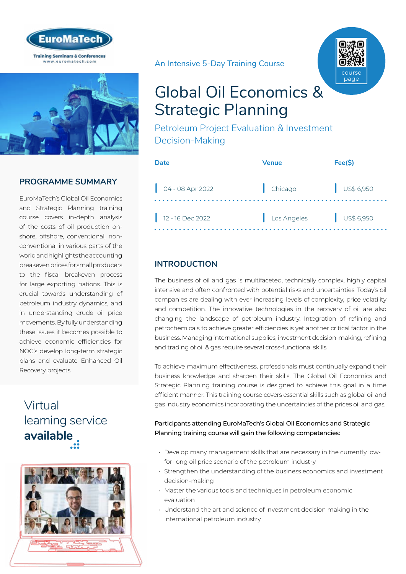



## **PROGRAMME SUMMARY**

EuroMaTech's Global Oil Economics and Strategic Planning training course covers in-depth analysis of the costs of oil production onshore, offshore, conventional, nonconventional in various parts of the world and highlights the accounting breakeven prices for small producers to the fiscal breakeven process for large exporting nations. This is crucial towards understanding of petroleum industry dynamics, and in understanding crude oil price movements. By fully understanding these issues it becomes possible to achieve economic efficiencies for NOC's develop long-term strategic plans and evaluate Enhanced Oil Recovery projects.

## Virtual [learning service](https://www.euromatech.com/seminars/global-oil-economics-strategic-planning-1/)  **available**



An Intensive 5-Day Training Course



# Global Oil Economics & Strategic Planning

Petroleum Project Evaluation & Investment Decision-Making

| Date                        | Venue                  | Fee(S)               |
|-----------------------------|------------------------|----------------------|
| $\bigcirc$ 04 - 08 Apr 2022 | Chicago                | $\bigcup$ US\$ 6,950 |
| $12 - 16$ Dec 2022          | Los Angeles US\$ 6,950 |                      |

## **INTRODUCTION**

The business of oil and gas is multifaceted, technically complex, highly capital intensive and often confronted with potential risks and uncertainties. Today's oil companies are dealing with ever increasing levels of complexity, price volatility and competition. The innovative technologies in the recovery of oil are also changing the landscape of petroleum industry. Integration of refining and petrochemicals to achieve greater efficiencies is yet another critical factor in the business. Managing international supplies, investment decision-making, refining and trading of oil & gas require several cross-functional skills.

To achieve maximum effectiveness, professionals must continually expand their business knowledge and sharpen their skills. The Global Oil Economics and Strategic Planning training course is designed to achieve this goal in a time efficient manner. This training course covers essential skills such as global oil and gas industry economics incorporating the uncertainties of the prices oil and gas.

Participants attending EuroMaTech's Global Oil Economics and Strategic Planning training course will gain the following competencies:

- Develop many management skills that are necessary in the currently lowfor-long oil price scenario of the petroleum industry
- Strengthen the understanding of the business economics and investment decision-making
- Master the various tools and techniques in petroleum economic evaluation
- Understand the art and science of investment decision making in the international petroleum industry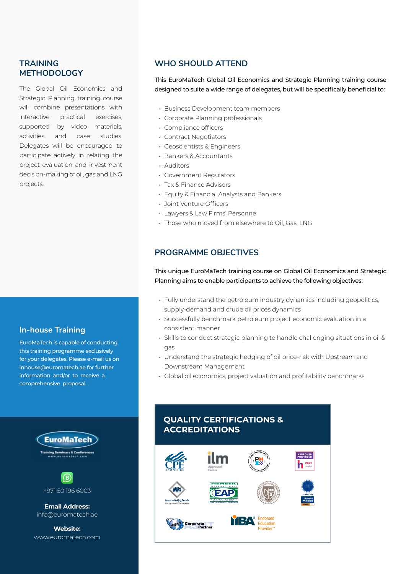## **TRAINING METHODOLOGY**

The Global Oil Economics and Strategic Planning training course will combine presentations with interactive practical exercises, supported by video materials, activities and case studies. Delegates will be encouraged to participate actively in relating the project evaluation and investment decision-making of oil, gas and LNG projects.

## **In-house Training**

EuroMaTech is capable of conducting this training programme exclusively for your delegates. Please e-mail us on inhouse@euromatech.ae for further information and/or to receive a comprehensive proposal.





**Email Address:** info@euromatech.ae

**Website:** www.euromatech.com

## **WHO SHOULD ATTEND**

This EuroMaTech Global Oil Economics and Strategic Planning training course designed to suite a wide range of delegates, but will be specifically beneficial to:

- Business Development team members
- Corporate Planning professionals
- Compliance officers
- Contract Negotiators
- Geoscientists & Engineers
- Bankers & Accountants
- Auditors
- Government Regulators
- Tax & Finance Advisors
- Equity & Financial Analysts and Bankers
- Joint Venture Officers
- Lawyers & Law Firms' Personnel
- Those who moved from elsewhere to Oil, Gas, LNG

## **PROGRAMME OBJECTIVES**

This unique EuroMaTech training course on Global Oil Economics and Strategic Planning aims to enable participants to achieve the following objectives:

- Fully understand the petroleum industry dynamics including geopolitics, supply-demand and crude oil prices dynamics
- Successfully benchmark petroleum project economic evaluation in a consistent manner
- Skills to conduct strategic planning to handle challenging situations in oil & gas
- Understand the strategic hedging of oil price-risk with Upstream and Downstream Management
- Global oil economics, project valuation and profitability benchmarks

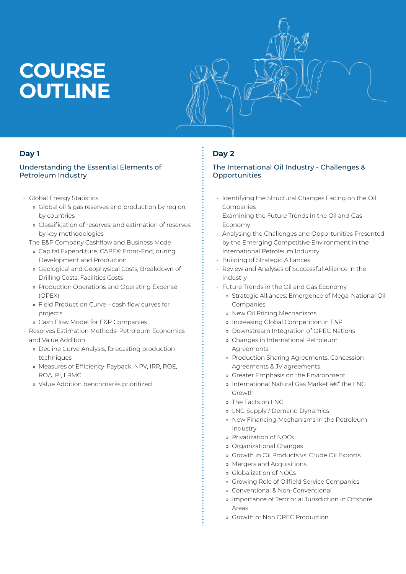# **COURSE OUTLINE**



## **Day 1**

#### Understanding the Essential Elements of Petroleum Industry

- Global Energy Statistics
	- » Global oil & gas reserves and production by region, by countries
	- » Classification of reserves, and estimation of reserves by key methodologies
- The E&P Company Cashflow and Business Model
	- » Capital Expenditure, CAPEX: Front-End, during Development and Production
	- » Geological and Geophysical Costs, Breakdown of Drilling Costs, Facilities Costs
	- » Production Operations and Operating Expense (OPEX)
	- » Field Production Curve cash flow curves for projects
	- » Cash Flow Model for E&P Companies
- Reserves Estimation Methods, Petroleum Economics and Value Addition
	- » Decline Curve Analysis, forecasting production techniques
	- » Measures of Efficiency-Payback, NPV, IRR, ROE, ROA, PI, LRMC
	- » Value Addition benchmarks prioritized

## **Day 2**

#### The International Oil Industry - Challenges & **Opportunities**

- Identifying the Structural Changes Facing on the Oil Companies
- Examining the Future Trends in the Oil and Gas Economy
- Analysing the Challenges and Opportunities Presented by the Emerging Competitive Environment in the International Petroleum Industry
- Building of Strategic Alliances
- Review and Analyses of Successful Alliance in the Industry
- Future Trends in the Oil and Gas Economy
	- » Strategic Alliances: Emergence of Mega-National Oil Companies
	- » New Oil Pricing Mechanisms
	- » Increasing Global Competition in E&P
	- » Downstream Integration of OPEC Nations
	- » Changes in International Petroleum Agreements
	- » Production Sharing Agreements, Concession Agreements & JV agreements
	- » Greater Emphasis on the Environment
	- » International Natural Gas Market  $\hat{a}\in\hat{a}^*$  the LNG Growth
	- » The Facts on LNG
	- » LNG Supply / Demand Dynamics
	- » New Financing Mechanisms in the Petroleum Industry
	- » Privatization of NOCs
	- » Organizational Changes
	- » Growth in Oil Products vs. Crude Oil Exports
	- » Mergers and Acquisitions
	- » Globalization of NOCs
	- » Growing Role of Oilfield Service Companies
	- » Conventional & Non-Conventional
	- » Importance of Territorial Jurisdiction in Offshore Areas
	- » Growth of Non OPEC Production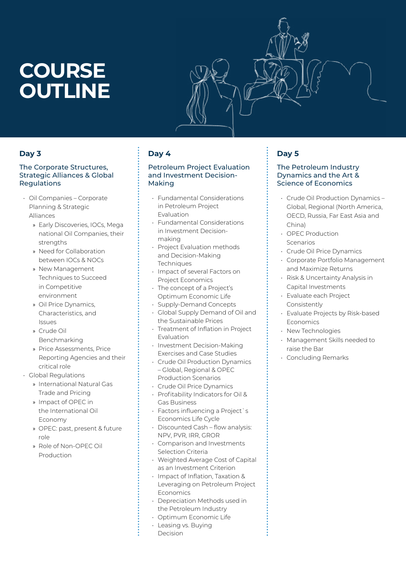# **COURSE OUTLINE**

### **Day 3**

#### The Corporate Structures, Strategic Alliances & Global Regulations

- Oil Companies Corporate Planning & Strategic Alliances
	- » Early Discoveries, IOCs, Mega national Oil Companies, their strengths
	- » Need for Collaboration between IOCs & NOCs
	- » New Management Techniques to Succeed in Competitive environment
	- » Oil Price Dynamics, Characteristics, and Issues
	- » Crude Oil Benchmarking
	- » Price Assessments, Price Reporting Agencies and their critical role
- Global Regulations
	- » International Natural Gas Trade and Pricing
	- » Impact of OPEC in the International Oil Economy
	- » OPEC: past, present & future role
	- » Role of Non-OPEC Oil Production

## **Day 4**

#### Petroleum Project Evaluation and Investment Decision-Making

- Fundamental Considerations in Petroleum Project Evaluation
- Fundamental Considerations in Investment Decisionmaking
- Project Evaluation methods and Decision-Making **Techniques**
- Impact of several Factors on Project Economics
- The concept of a Project's Optimum Economic Life
- Supply-Demand Concepts
- Global Supply Demand of Oil and the Sustainable Prices
- Treatment of Inflation in Project Evaluation
- Investment Decision-Making Exercises and Case Studies
- Crude Oil Production Dynamics – Global, Regional & OPEC Production Scenarios
- Crude Oil Price Dynamics
- Profitability Indicators for Oil & Gas Business
- Factors influencing a Project`s Economics Life Cycle
- Discounted Cash flow analysis: NPV, PVR, IRR, GROR
- Comparison and Investments Selection Criteria
- Weighted Average Cost of Capital as an Investment Criterion
- Impact of Inflation, Taxation & Leveraging on Petroleum Project Economics
- Depreciation Methods used in the Petroleum Industry
- Optimum Economic Life
- Leasing vs. Buying Decision

## **Day 5**

#### The Petroleum Industry Dynamics and the Art & Science of Economics

- Crude Oil Production Dynamics Global, Regional (North America, OECD, Russia, Far East Asia and China)
- OPEC Production Scenarios
- Crude Oil Price Dynamics
- Corporate Portfolio Management and Maximize Returns
- Risk & Uncertainty Analysis in Capital Investments
- Evaluate each Project Consistently
- Evaluate Projects by Risk-based Economics
- New Technologies
- Management Skills needed to raise the Bar
- Concluding Remarks